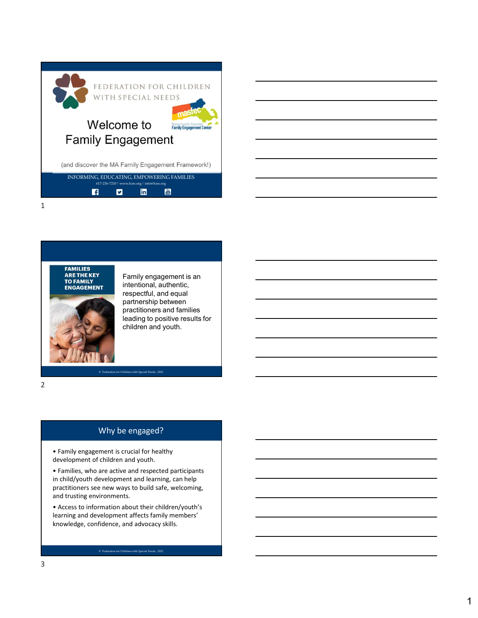| FEDERATION FOR CHILDREN<br>WITH SPECIAL NEEDS                                                                         |  |
|-----------------------------------------------------------------------------------------------------------------------|--|
| Welcome to<br><b>Family Engagement Center</b>                                                                         |  |
| <b>Family Engagement</b>                                                                                              |  |
| (and discover the MA Family Engagement Framework!)                                                                    |  |
| INFORMING, EDUCATING, EMPOWERING FAMILIES<br>617-236-7210   www.fcsn.org   info@fcsn.org<br>You<br>Tube<br>linl<br>۱f |  |
|                                                                                                                       |  |



Family engagement is an intentional, authentic, respectful, and equal partnership between practitioners and families leading to positive results for children and youth.

2 and 2 and 2 and 2 and 2 and 2 and 2 and 2 and 2 and 2 and 2 and 2 and 2 and 2 and 2 and 2 and 2 and 2 and 2

## Why be engaged?

• Family engagement is crucial for healthy development of children and youth.

• Families, who are active and respected participants in child/youth development and learning, can help practitioners see new ways to build safe, welcoming, and trusting environments.

• Access to information about their children/youth's learning and development affects family members' knowledge, confidence, and advocacy skills.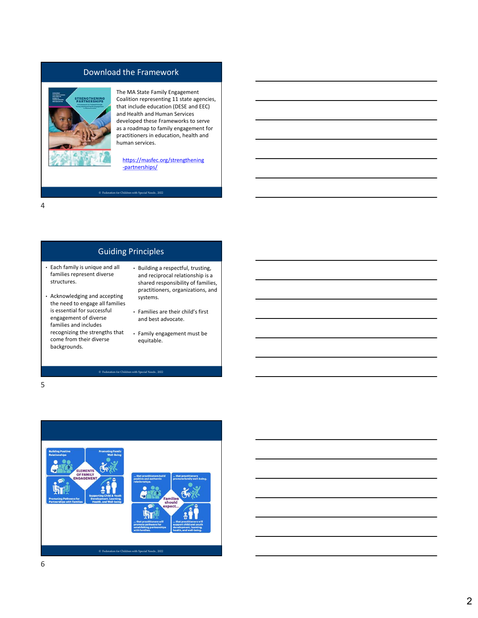## Download the Framework



The MA State Family Engagement Coalition representing 11 state agencies, that include education (DESE and EEC) and Health and Human Services developed these Frameworks to serve as a roadmap to family engagement for practitioners in education, health and human services.

https://masfec.org/strengthening -partnerships/

4

## Guiding Principles

© Federation for Children with Special Needs , 2022

- Each family is unique and all families represent diverse structures.
- Acknowledging and accepting the need to engage all families is essential for successful engagement of diverse families and includes recognizing the strengths that come from their diverse backgrounds.
- Building a respectful, trusting, and reciprocal relationship is a shared responsibility of families, practitioners, organizations, and systems.
- Families are their child's first and best advocate.
- Family engagement must be equitable.

 $5<sub>5</sub>$ 

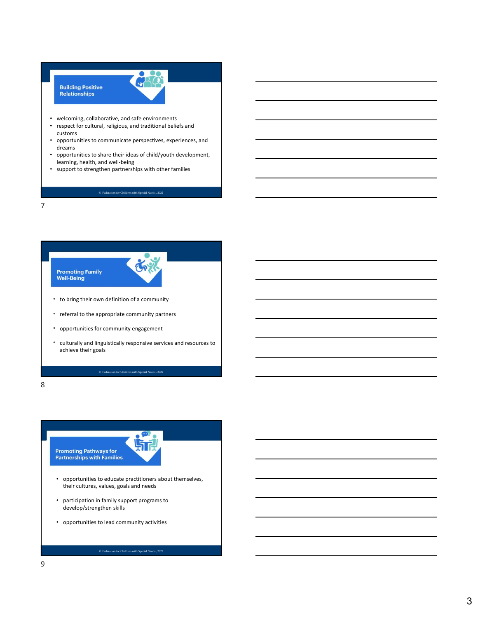# **Building Positive<br>Relationships**



- welcoming, collaborative, and safe environments
- respect for cultural, religious, and traditional beliefs and customs
- opportunities to communicate perspectives, experiences, and dreams
- opportunities to share their ideas of child/youth development, learning, health, and well-being
- support to strengthen partnerships with other families

7



- to bring their own definition of a community
- referral to the appropriate community partners
- opportunities for community engagement
- culturally and linguistically responsive services and resources to achieve their goals

8 and 2010 and 2010 and 2010 and 2010 and 2010 and 2010 and 2010 and 2010 and 2010 and 2010 and 2010 and 2010

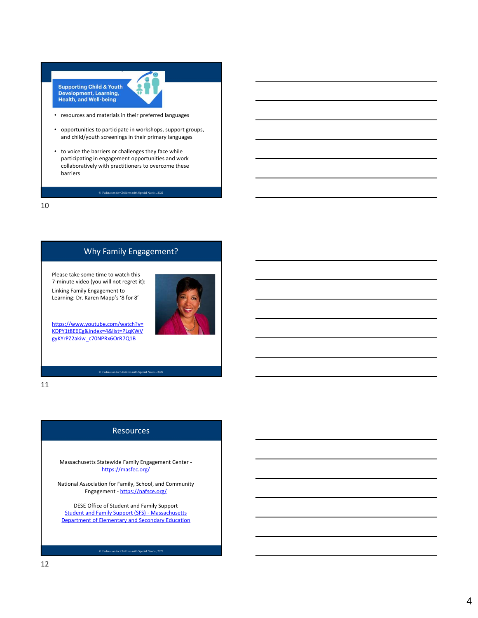

- resources and materials in their preferred languages
- opportunities to participate in workshops, support groups, and child/youth screenings in their primary languages
- to voice the barriers or challenges they face while participating in engagement opportunities and work collaboratively with practitioners to overcome these barriers Supporting Child & Youth<br>
Powelopment, Learning,<br>
Tesources and materials in their preferred languages<br>
and child/youth screenings in their primary languages<br>
To voice the barriers or challenges they face while<br>
participat

10

## Why Family Engagement?

Please take some time to watch this Linking Family Engagement to Learning: Dr. Karen Mapp's '8 for 8'



11

### Resources

Massachusetts Statewide Family Engagement Center https://masfec.org/

National Association for Family, School, and Community Engagement - https://nafsce.org/

DESE Office of Student and Family Support Student and Family Support (SFS) - Massachusetts Department of Elementary and Secondary Education